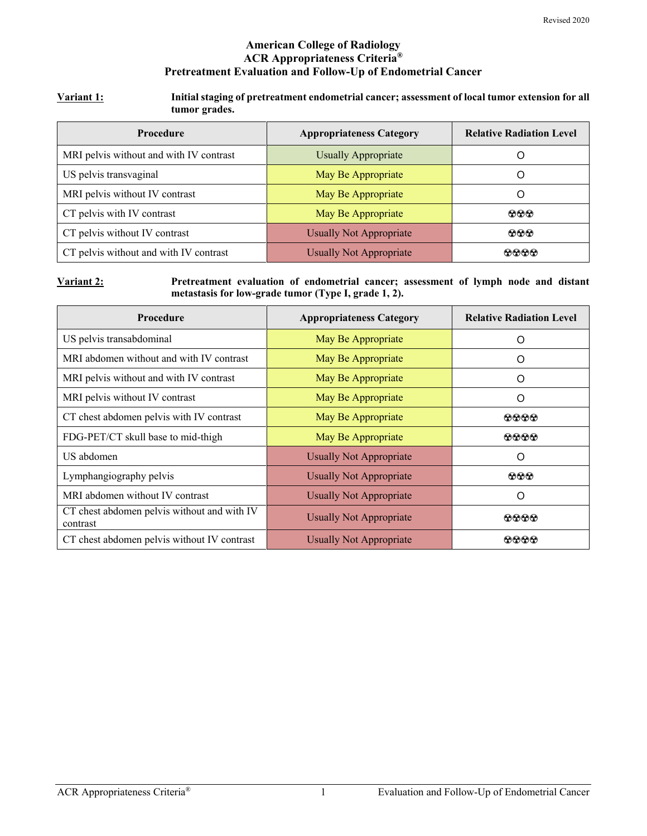### **American College of Radiology ACR Appropriateness Criteria® Pretreatment Evaluation and Follow-Up of Endometrial Cancer**

#### **Variant 1: Initial staging of pretreatment endometrial cancer; assessment of local tumor extension for all tumor grades.**

| <b>Procedure</b>                        | <b>Appropriateness Category</b> | <b>Relative Radiation Level</b> |
|-----------------------------------------|---------------------------------|---------------------------------|
| MRI pelvis without and with IV contrast | <b>Usually Appropriate</b>      |                                 |
| US pelvis transvaginal                  | May Be Appropriate              | $\Omega$                        |
| MRI pelvis without IV contrast          | May Be Appropriate              | $\mathcal{L}$                   |
| CT pelvis with IV contrast              | May Be Appropriate              | $\odot\odot\odot$               |
| CT pelvis without IV contrast           | <b>Usually Not Appropriate</b>  | $\odot\odot\odot$               |
| CT pelvis without and with IV contrast  | <b>Usually Not Appropriate</b>  | $\Omega$ $\Omega$ $\Omega$      |

#### **Variant 2: Pretreatment evaluation of endometrial cancer; assessment of lymph node and distant metastasis for low-grade tumor (Type I, grade 1, 2).**

| Procedure                                               | <b>Appropriateness Category</b> | <b>Relative Radiation Level</b> |
|---------------------------------------------------------|---------------------------------|---------------------------------|
| US pelvis transabdominal                                | May Be Appropriate              | Ω                               |
| MRI abdomen without and with IV contrast                | May Be Appropriate              | O                               |
| MRI pelvis without and with IV contrast                 | May Be Appropriate              | O                               |
| MRI pelvis without IV contrast                          | May Be Appropriate              | O                               |
| CT chest abdomen pelvis with IV contrast                | May Be Appropriate              | 0000                            |
| FDG-PET/CT skull base to mid-thigh                      | May Be Appropriate              | 0000                            |
| US abdomen                                              | <b>Usually Not Appropriate</b>  | O                               |
| Lymphangiography pelvis                                 | <b>Usually Not Appropriate</b>  | $\odot\odot\odot$               |
| MRI abdomen without IV contrast                         | <b>Usually Not Appropriate</b>  | ∩                               |
| CT chest abdomen pelvis without and with IV<br>contrast | <b>Usually Not Appropriate</b>  | 0000                            |
| CT chest abdomen pelvis without IV contrast             | <b>Usually Not Appropriate</b>  | 0000                            |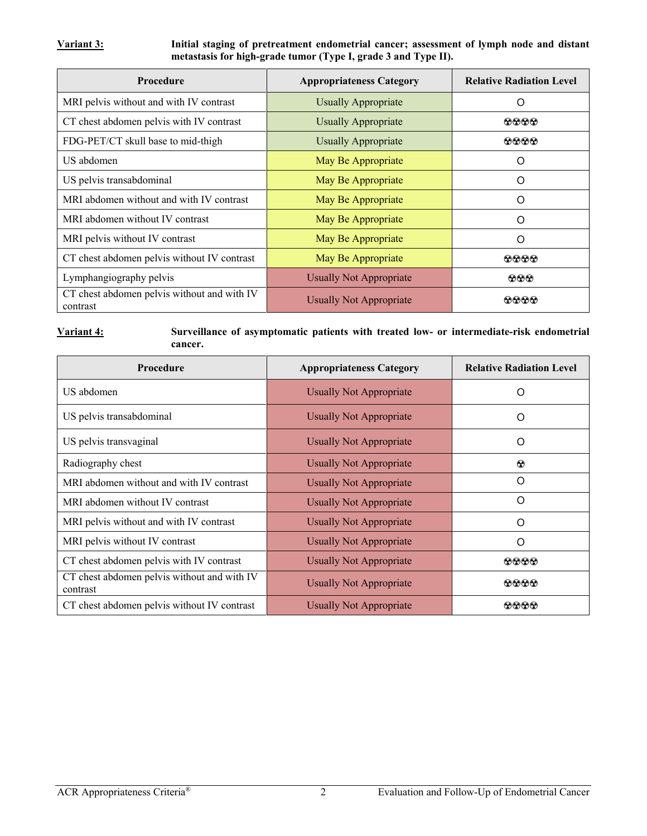**Variant 3: Initial staging of pretreatment endometrial cancer; assessment of lymph node and distant metastasis for high-grade tumor (Type I, grade 3 and Type II).**

| <b>Procedure</b>                                        | <b>Appropriateness Category</b> | <b>Relative Radiation Level</b> |
|---------------------------------------------------------|---------------------------------|---------------------------------|
| MRI pelvis without and with IV contrast                 | <b>Usually Appropriate</b>      | O                               |
| CT chest abdomen pelvis with IV contrast                | <b>Usually Appropriate</b>      | 0000                            |
| FDG-PET/CT skull base to mid-thigh                      | <b>Usually Appropriate</b>      | 0000                            |
| US abdomen                                              | May Be Appropriate              | ∩                               |
| US pelvis transabdominal                                | May Be Appropriate              | O                               |
| MRI abdomen without and with IV contrast                | May Be Appropriate              | O                               |
| MRI abdomen without IV contrast                         | May Be Appropriate              | $\Omega$                        |
| MRI pelvis without IV contrast                          | May Be Appropriate              | $\Omega$                        |
| CT chest abdomen pelvis without IV contrast             | May Be Appropriate              | 0000                            |
| Lymphangiography pelvis                                 | <b>Usually Not Appropriate</b>  | $\odot \odot \odot$             |
| CT chest abdomen pelvis without and with IV<br>contrast | <b>Usually Not Appropriate</b>  | രരൈര                            |

#### **Variant 4: Surveillance of asymptomatic patients with treated low- or intermediate-risk endometrial cancer.**

| <b>Procedure</b>                                        | <b>Appropriateness Category</b> | <b>Relative Radiation Level</b> |
|---------------------------------------------------------|---------------------------------|---------------------------------|
| US abdomen                                              | <b>Usually Not Appropriate</b>  | Ω                               |
| US pelvis transabdominal                                | Usually Not Appropriate         | O                               |
| US pelvis transvaginal                                  | <b>Usually Not Appropriate</b>  | O                               |
| Radiography chest                                       | <b>Usually Not Appropriate</b>  | $\odot$                         |
| MRI abdomen without and with IV contrast                | <b>Usually Not Appropriate</b>  | O                               |
| MRI abdomen without IV contrast                         | <b>Usually Not Appropriate</b>  | O                               |
| MRI pelvis without and with IV contrast                 | <b>Usually Not Appropriate</b>  | O                               |
| MRI pelvis without IV contrast                          | <b>Usually Not Appropriate</b>  | $\Omega$                        |
| CT chest abdomen pelvis with IV contrast                | <b>Usually Not Appropriate</b>  | $\bullet\bullet\bullet\bullet$  |
| CT chest abdomen pelvis without and with IV<br>contrast | <b>Usually Not Appropriate</b>  | 0000                            |
| CT chest abdomen pelvis without IV contrast             | Usually Not Appropriate         | 0000                            |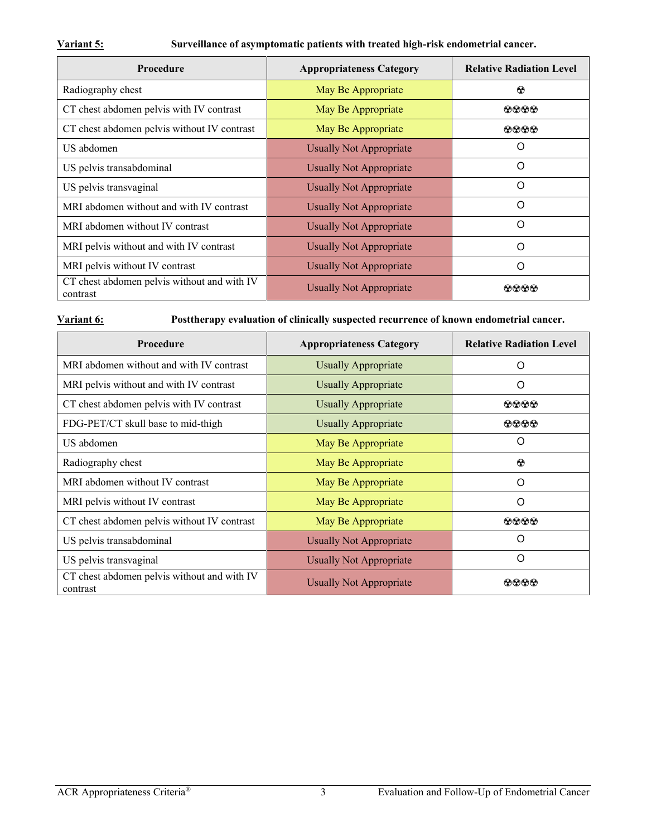**Variant 5: Surveillance of asymptomatic patients with treated high-risk endometrial cancer.**

| Procedure                                               | <b>Appropriateness Category</b> | <b>Relative Radiation Level</b> |  |
|---------------------------------------------------------|---------------------------------|---------------------------------|--|
| Radiography chest                                       | May Be Appropriate              | $\odot$                         |  |
| CT chest abdomen pelvis with IV contrast                | May Be Appropriate              | 0000                            |  |
| CT chest abdomen pelvis without IV contrast             | May Be Appropriate              | 0000                            |  |
| US abdomen                                              | <b>Usually Not Appropriate</b>  | O                               |  |
| US pelvis transabdominal                                | <b>Usually Not Appropriate</b>  | O                               |  |
| US pelvis transvaginal                                  | <b>Usually Not Appropriate</b>  | O                               |  |
| MRI abdomen without and with IV contrast                | <b>Usually Not Appropriate</b>  | O                               |  |
| MRI abdomen without IV contrast                         | <b>Usually Not Appropriate</b>  | Ω                               |  |
| MRI pelvis without and with IV contrast                 | <b>Usually Not Appropriate</b>  | O                               |  |
| MRI pelvis without IV contrast                          | <b>Usually Not Appropriate</b>  | O                               |  |
| CT chest abdomen pelvis without and with IV<br>contrast | <b>Usually Not Appropriate</b>  | കൈര                             |  |

**Variant 6: Posttherapy evaluation of clinically suspected recurrence of known endometrial cancer.**

| <b>Procedure</b>                                        | <b>Appropriateness Category</b> | <b>Relative Radiation Level</b> |
|---------------------------------------------------------|---------------------------------|---------------------------------|
| MRI abdomen without and with IV contrast                | <b>Usually Appropriate</b>      | O                               |
| MRI pelvis without and with IV contrast                 | <b>Usually Appropriate</b>      | O                               |
| CT chest abdomen pelvis with IV contrast                | <b>Usually Appropriate</b>      | 0000                            |
| FDG-PET/CT skull base to mid-thigh                      | <b>Usually Appropriate</b>      | $\bf \odot\bf \odot\bf \odot$   |
| US abdomen                                              | May Be Appropriate              | O                               |
| Radiography chest                                       | May Be Appropriate              | $\odot$                         |
| MRI abdomen without IV contrast                         | May Be Appropriate              | O                               |
| MRI pelvis without IV contrast                          | May Be Appropriate              | Ω                               |
| CT chest abdomen pelvis without IV contrast             | May Be Appropriate              | $\Omega$ $\Omega$ $\Omega$      |
| US pelvis transabdominal                                | <b>Usually Not Appropriate</b>  | Ω                               |
| US pelvis transvaginal                                  | <b>Usually Not Appropriate</b>  | $\Omega$                        |
| CT chest abdomen pelvis without and with IV<br>contrast | Usually Not Appropriate         | 00000                           |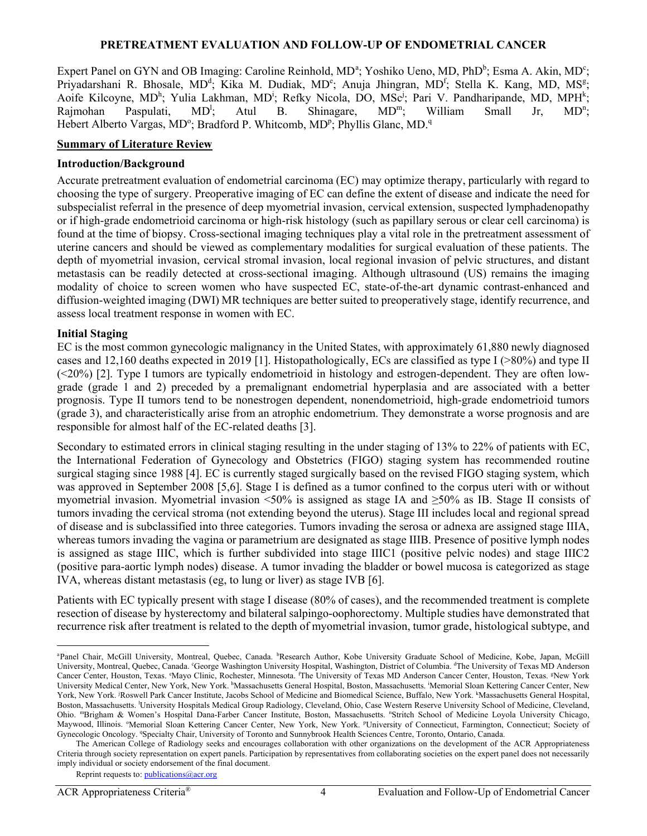#### **PRETREATMENT EVALUATION AND FOLLOW-UP OF ENDOMETRIAL CANCER**

Expert P[a](#page-3-0)nel on GYN and OB Imaging: Caroline Reinhold, MD<sup>a</sup>; Yoshiko Ueno, MD, PhD<sup>b</sup>; Esma A. Akin, MD<sup>c</sup>; Priyadarshani R. Bhosale, MD<sup>d</sup>; Kika M. Dudiak, MD<sup>e</sup>; Anuja Jhingran, MD<sup>f</sup>; Stella K. Kang, MD, MS<sup>g</sup>; Aoife Kilcoyne, MD<sup>h</sup>; Yulia Lakhman, MD<sup>i</sup>; Refky Nicola, DO, MSc<sup>j</sup>; Pari V. Pandharipande, MD, MPH<sup>k</sup>; Rajmohan Paspulati, MD<sup>1</sup>; Atul B. Shinagare, MD<sup>m</sup>; William Small Jr,  $MD<sup>n</sup>$ ; Hebert Alberto Vargas, MD°; Bradford P. Whitcomb, MD<sup>p</sup>; Phyllis Glanc, MD.<sup>q</sup>

### **Summary of Literature Review**

#### **Introduction/Background**

Accurate pretreatment evaluation of endometrial carcinoma (EC) may optimize therapy, particularly with regard to choosing the type of surgery. Preoperative imaging of EC can define the extent of disease and indicate the need for subspecialist referral in the presence of deep myometrial invasion, cervical extension, suspected lymphadenopathy or if high-grade endometrioid carcinoma or high-risk histology (such as papillary serous or clear cell carcinoma) is found at the time of biopsy. Cross-sectional imaging techniques play a vital role in the pretreatment assessment of uterine cancers and should be viewed as complementary modalities for surgical evaluation of these patients. The depth of myometrial invasion, cervical stromal invasion, local regional invasion of pelvic structures, and distant metastasis can be readily detected at cross-sectional imaging. Although ultrasound (US) remains the imaging modality of choice to screen women who have suspected EC, state-of-the-art dynamic contrast-enhanced and diffusion-weighted imaging (DWI) MR techniques are better suited to preoperatively stage, identify recurrence, and assess local treatment response in women with EC.

#### **Initial Staging**

EC is the most common gynecologic malignancy in the United States, with approximately 61,880 newly diagnosed cases and 12,160 deaths expected in 2019 [1]. Histopathologically, ECs are classified as type I (>80%) and type II (<20%) [2]. Type I tumors are typically endometrioid in histology and estrogen-dependent. They are often lowgrade (grade 1 and 2) preceded by a premalignant endometrial hyperplasia and are associated with a better prognosis. Type II tumors tend to be nonestrogen dependent, nonendometrioid, high-grade endometrioid tumors (grade 3), and characteristically arise from an atrophic endometrium. They demonstrate a worse prognosis and are responsible for almost half of the EC-related deaths [3].

Secondary to estimated errors in clinical staging resulting in the under staging of 13% to 22% of patients with EC, the International Federation of Gynecology and Obstetrics (FIGO) staging system has recommended routine surgical staging since 1988 [4]. EC is currently staged surgically based on the revised FIGO staging system, which was approved in September 2008 [5,6]. Stage I is defined as a tumor confined to the corpus uteri with or without myometrial invasion. Myometrial invasion <50% is assigned as stage IA and ≥50% as IB. Stage II consists of tumors invading the cervical stroma (not extending beyond the uterus). Stage III includes local and regional spread of disease and is subclassified into three categories. Tumors invading the serosa or adnexa are assigned stage IIIA, whereas tumors invading the vagina or parametrium are designated as stage IIIB. Presence of positive lymph nodes is assigned as stage IIIC, which is further subdivided into stage IIIC1 (positive pelvic nodes) and stage IIIC2 (positive para-aortic lymph nodes) disease. A tumor invading the bladder or bowel mucosa is categorized as stage IVA, whereas distant metastasis (eg, to lung or liver) as stage IVB [6].

Patients with EC typically present with stage I disease (80% of cases), and the recommended treatment is complete resection of disease by hysterectomy and bilateral salpingo-oophorectomy. Multiple studies have demonstrated that recurrence risk after treatment is related to the depth of myometrial invasion, tumor grade, histological subtype, and

<span id="page-3-0"></span>a Panel Chair, McGill University, Montreal, Quebec, Canada. <sup>b</sup>Research Author, Kobe University Graduate School of Medicine, Kobe, Japan, McGill University, Montreal, Quebec, Canada. 'George Washington University Hospital, Washington, District of Columbia. <sup>4</sup>The University of Texas MD Anderson Cancer Center, Houston, Texas. "Mayo Clinic, Rochester, Minnesota. <sup>*F*The University of Texas MD Anderson Cancer Center, Houston, Texas. <sup>g</sup>New York</sup> University Medical Center, New York, New York. <sup>h</sup>Massachusetts General Hospital, Boston, Massachusetts. <sup>i</sup>Memorial Sloan Kettering Cancer Center, New York, New York. <sup>j</sup>Roswell Park Cancer Institute, Jacobs School of Medicine and Biomedical Science, Buffalo, New York. <sup>k</sup>Massachusetts General Hospital, Boston, Massachusetts. l University Hospitals Medical Group Radiology, Cleveland, Ohio, Case Western Reserve University School of Medicine, Cleveland, Ohio. "Brigham & Women's Hospital Dana-Farber Cancer Institute, Boston, Massachusetts. "Stritch School of Medicine Loyola University Chicago, Maywood, Illinois. <sup>o</sup>Memorial Sloan Kettering Cancer Center, New York, New York. <sup>p</sup>University of Connecticut, Farmington, Connecticut; Society of Gynecologic Oncology. <sup>a</sup>Specialty Chair, University of Toronto and Sunnybrook Health Sciences Centre, Toronto, Ontario, Canada.

The American College of Radiology seeks and encourages collaboration with other organizations on the development of the ACR Appropriateness Criteria through society representation on expert panels. Participation by representatives from collaborating societies on the expert panel does not necessarily imply individual or society endorsement of the final document.

Reprint requests to[: publications@acr.org](mailto:publications@acr.org)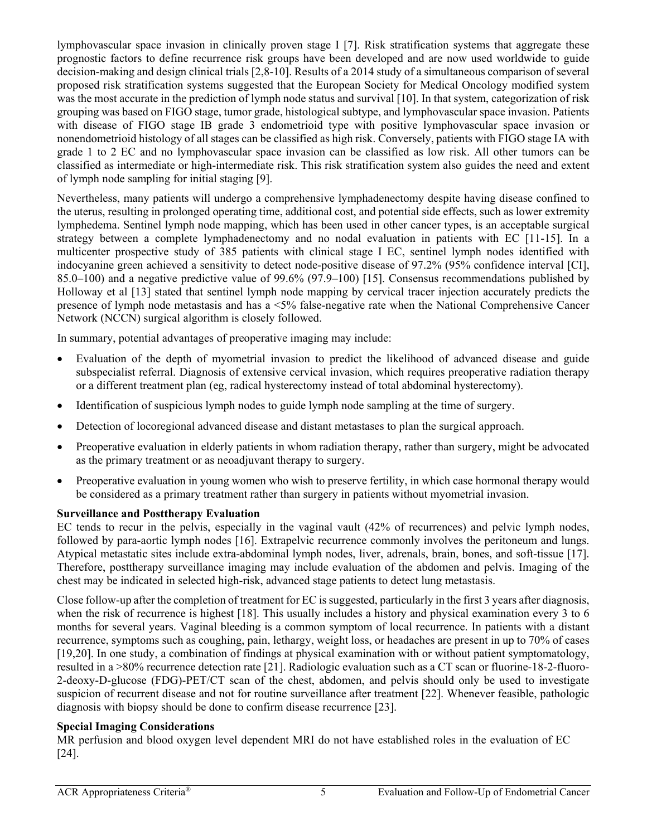lymphovascular space invasion in clinically proven stage I [7]. Risk stratification systems that aggregate these prognostic factors to define recurrence risk groups have been developed and are now used worldwide to guide decision-making and design clinical trials [2,8-10]. Results of a 2014 study of a simultaneous comparison of several proposed risk stratification systems suggested that the European Society for Medical Oncology modified system was the most accurate in the prediction of lymph node status and survival [10]. In that system, categorization of risk grouping was based on FIGO stage, tumor grade, histological subtype, and lymphovascular space invasion. Patients with disease of FIGO stage IB grade 3 endometrioid type with positive lymphovascular space invasion or nonendometrioid histology of all stages can be classified as high risk. Conversely, patients with FIGO stage IA with grade 1 to 2 EC and no lymphovascular space invasion can be classified as low risk. All other tumors can be classified as intermediate or high-intermediate risk. This risk stratification system also guides the need and extent of lymph node sampling for initial staging [9].

Nevertheless, many patients will undergo a comprehensive lymphadenectomy despite having disease confined to the uterus, resulting in prolonged operating time, additional cost, and potential side effects, such as lower extremity lymphedema. Sentinel lymph node mapping, which has been used in other cancer types, is an acceptable surgical strategy between a complete lymphadenectomy and no nodal evaluation in patients with EC [11-15]. In a multicenter prospective study of 385 patients with clinical stage I EC, sentinel lymph nodes identified with indocyanine green achieved a sensitivity to detect node-positive disease of 97.2% (95% confidence interval [CI], 85.0–100) and a negative predictive value of 99.6% (97.9–100) [15]. Consensus recommendations published by Holloway et al [13] stated that sentinel lymph node mapping by cervical tracer injection accurately predicts the presence of lymph node metastasis and has a <5% false-negative rate when the National Comprehensive Cancer Network (NCCN) surgical algorithm is closely followed.

In summary, potential advantages of preoperative imaging may include:

- Evaluation of the depth of myometrial invasion to predict the likelihood of advanced disease and guide subspecialist referral. Diagnosis of extensive cervical invasion, which requires preoperative radiation therapy or a different treatment plan (eg, radical hysterectomy instead of total abdominal hysterectomy).
- Identification of suspicious lymph nodes to guide lymph node sampling at the time of surgery.
- Detection of locoregional advanced disease and distant metastases to plan the surgical approach.
- Preoperative evaluation in elderly patients in whom radiation therapy, rather than surgery, might be advocated as the primary treatment or as neoadjuvant therapy to surgery.
- Preoperative evaluation in young women who wish to preserve fertility, in which case hormonal therapy would be considered as a primary treatment rather than surgery in patients without myometrial invasion.

# **Surveillance and Posttherapy Evaluation**

EC tends to recur in the pelvis, especially in the vaginal vault (42% of recurrences) and pelvic lymph nodes, followed by para-aortic lymph nodes [16]. Extrapelvic recurrence commonly involves the peritoneum and lungs. Atypical metastatic sites include extra-abdominal lymph nodes, liver, adrenals, brain, bones, and soft-tissue [17]. Therefore, posttherapy surveillance imaging may include evaluation of the abdomen and pelvis. Imaging of the chest may be indicated in selected high-risk, advanced stage patients to detect lung metastasis.

Close follow-up after the completion of treatment for EC is suggested, particularly in the first 3 years after diagnosis, when the risk of recurrence is highest [18]. This usually includes a history and physical examination every 3 to 6 months for several years. Vaginal bleeding is a common symptom of local recurrence. In patients with a distant recurrence, symptoms such as coughing, pain, lethargy, weight loss, or headaches are present in up to 70% of cases [19,20]. In one study, a combination of findings at physical examination with or without patient symptomatology, resulted in a >80% recurrence detection rate [21]. Radiologic evaluation such as a CT scan or fluorine-18-2-fluoro-2-deoxy-D-glucose (FDG)-PET/CT scan of the chest, abdomen, and pelvis should only be used to investigate suspicion of recurrent disease and not for routine surveillance after treatment [22]. Whenever feasible, pathologic diagnosis with biopsy should be done to confirm disease recurrence [23].

# **Special Imaging Considerations**

MR perfusion and blood oxygen level dependent MRI do not have established roles in the evaluation of EC [24].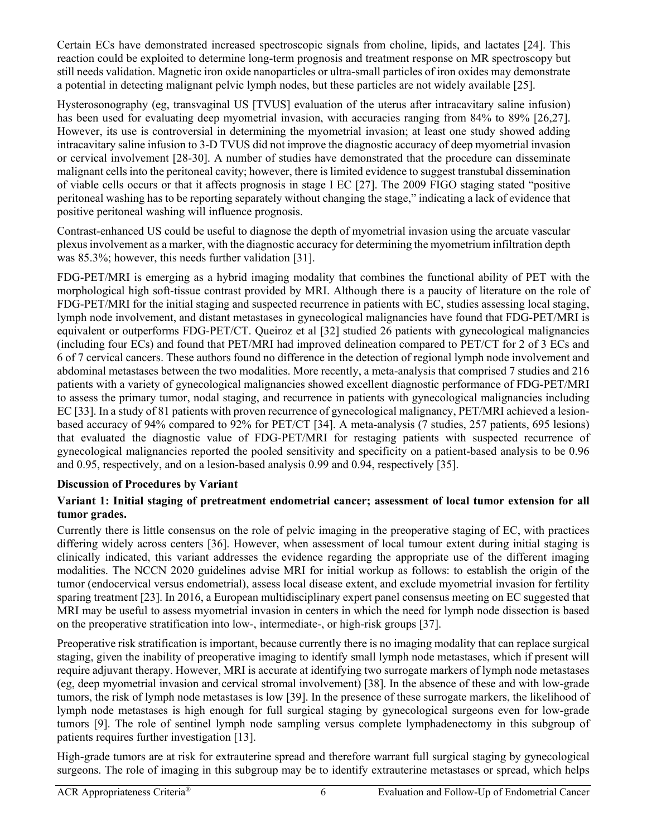Certain ECs have demonstrated increased spectroscopic signals from choline, lipids, and lactates [24]. This reaction could be exploited to determine long-term prognosis and treatment response on MR spectroscopy but still needs validation. Magnetic iron oxide nanoparticles or ultra-small particles of iron oxides may demonstrate a potential in detecting malignant pelvic lymph nodes, but these particles are not widely available [25].

Hysterosonography (eg, transvaginal US [TVUS] evaluation of the uterus after intracavitary saline infusion) has been used for evaluating deep myometrial invasion, with accuracies ranging from 84% to 89% [26,27]. However, its use is controversial in determining the myometrial invasion; at least one study showed adding intracavitary saline infusion to 3-D TVUS did not improve the diagnostic accuracy of deep myometrial invasion or cervical involvement [28-30]. A number of studies have demonstrated that the procedure can disseminate malignant cells into the peritoneal cavity; however, there is limited evidence to suggest transtubal dissemination of viable cells occurs or that it affects prognosis in stage I EC [27]. The 2009 FIGO staging stated "positive peritoneal washing has to be reporting separately without changing the stage," indicating a lack of evidence that positive peritoneal washing will influence prognosis.

Contrast-enhanced US could be useful to diagnose the depth of myometrial invasion using the arcuate vascular plexus involvement as a marker, with the diagnostic accuracy for determining the myometrium infiltration depth was 85.3%; however, this needs further validation [31].

FDG-PET/MRI is emerging as a hybrid imaging modality that combines the functional ability of PET with the morphological high soft-tissue contrast provided by MRI. Although there is a paucity of literature on the role of FDG-PET/MRI for the initial staging and suspected recurrence in patients with EC, studies assessing local staging, lymph node involvement, and distant metastases in gynecological malignancies have found that FDG-PET/MRI is equivalent or outperforms FDG-PET/CT. Queiroz et al [32] studied 26 patients with gynecological malignancies (including four ECs) and found that PET/MRI had improved delineation compared to PET/CT for 2 of 3 ECs and 6 of 7 cervical cancers. These authors found no difference in the detection of regional lymph node involvement and abdominal metastases between the two modalities. More recently, a meta-analysis that comprised 7 studies and 216 patients with a variety of gynecological malignancies showed excellent diagnostic performance of FDG-PET/MRI to assess the primary tumor, nodal staging, and recurrence in patients with gynecological malignancies including EC [33]. In a study of 81 patients with proven recurrence of gynecological malignancy, PET/MRI achieved a lesionbased accuracy of 94% compared to 92% for PET/CT [34]. A meta-analysis (7 studies, 257 patients, 695 lesions) that evaluated the diagnostic value of FDG-PET/MRI for restaging patients with suspected recurrence of gynecological malignancies reported the pooled sensitivity and specificity on a patient-based analysis to be 0.96 and 0.95, respectively, and on a lesion-based analysis 0.99 and 0.94, respectively [35].

# **Discussion of Procedures by Variant**

# **Variant 1: Initial staging of pretreatment endometrial cancer; assessment of local tumor extension for all tumor grades.**

Currently there is little consensus on the role of pelvic imaging in the preoperative staging of EC, with practices differing widely across centers [36]. However, when assessment of local tumour extent during initial staging is clinically indicated, this variant addresses the evidence regarding the appropriate use of the different imaging modalities. The NCCN 2020 guidelines advise MRI for initial workup as follows: to establish the origin of the tumor (endocervical versus endometrial), assess local disease extent, and exclude myometrial invasion for fertility sparing treatment [23]. In 2016, a European multidisciplinary expert panel consensus meeting on EC suggested that MRI may be useful to assess myometrial invasion in centers in which the need for lymph node dissection is based on the preoperative stratification into low-, intermediate-, or high-risk groups [37].

Preoperative risk stratification is important, because currently there is no imaging modality that can replace surgical staging, given the inability of preoperative imaging to identify small lymph node metastases, which if present will require adjuvant therapy. However, MRI is accurate at identifying two surrogate markers of lymph node metastases (eg, deep myometrial invasion and cervical stromal involvement) [38]. In the absence of these and with low-grade tumors, the risk of lymph node metastases is low [39]. In the presence of these surrogate markers, the likelihood of lymph node metastases is high enough for full surgical staging by gynecological surgeons even for low-grade tumors [9]. The role of sentinel lymph node sampling versus complete lymphadenectomy in this subgroup of patients requires further investigation [13].

High-grade tumors are at risk for extrauterine spread and therefore warrant full surgical staging by gynecological surgeons. The role of imaging in this subgroup may be to identify extrauterine metastases or spread, which helps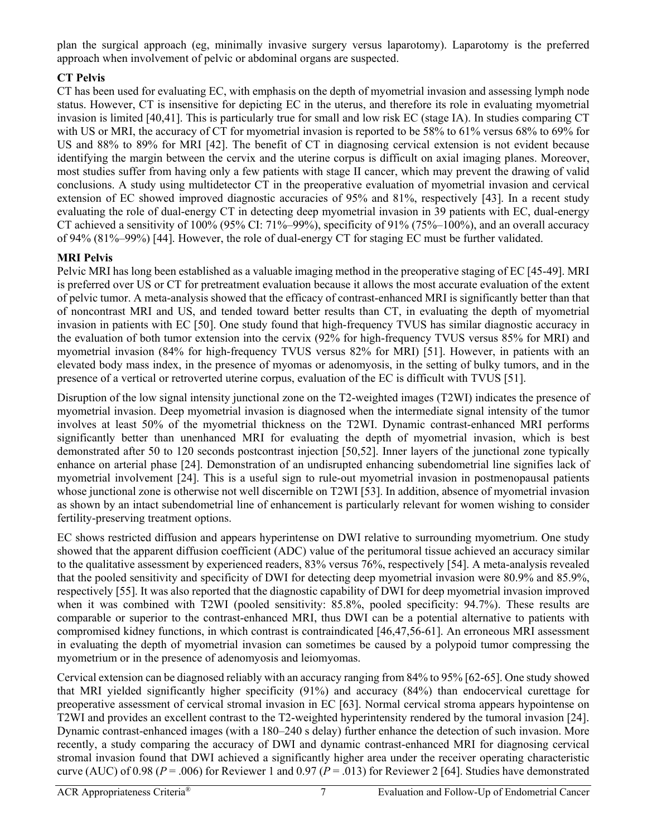plan the surgical approach (eg, minimally invasive surgery versus laparotomy). Laparotomy is the preferred approach when involvement of pelvic or abdominal organs are suspected.

# **CT Pelvis**

CT has been used for evaluating EC, with emphasis on the depth of myometrial invasion and assessing lymph node status. However, CT is insensitive for depicting EC in the uterus, and therefore its role in evaluating myometrial invasion is limited [40,41]. This is particularly true for small and low risk EC (stage IA). In studies comparing CT with US or MRI, the accuracy of CT for myometrial invasion is reported to be 58% to 61% versus 68% to 69% for US and 88% to 89% for MRI [42]. The benefit of CT in diagnosing cervical extension is not evident because identifying the margin between the cervix and the uterine corpus is difficult on axial imaging planes. Moreover, most studies suffer from having only a few patients with stage II cancer, which may prevent the drawing of valid conclusions. A study using multidetector CT in the preoperative evaluation of myometrial invasion and cervical extension of EC showed improved diagnostic accuracies of 95% and 81%, respectively [43]. In a recent study evaluating the role of dual-energy CT in detecting deep myometrial invasion in 39 patients with EC, dual-energy CT achieved a sensitivity of 100% (95% CI: 71%–99%), specificity of 91% (75%–100%), and an overall accuracy of 94% (81%–99%) [44]. However, the role of dual-energy CT for staging EC must be further validated.

# **MRI Pelvis**

Pelvic MRI has long been established as a valuable imaging method in the preoperative staging of EC [45-49]. MRI is preferred over US or CT for pretreatment evaluation because it allows the most accurate evaluation of the extent of pelvic tumor. A meta-analysis showed that the efficacy of contrast-enhanced MRI is significantly better than that of noncontrast MRI and US, and tended toward better results than CT, in evaluating the depth of myometrial invasion in patients with EC [50]. One study found that high-frequency TVUS has similar diagnostic accuracy in the evaluation of both tumor extension into the cervix (92% for high-frequency TVUS versus 85% for MRI) and myometrial invasion (84% for high-frequency TVUS versus 82% for MRI) [51]. However, in patients with an elevated body mass index, in the presence of myomas or adenomyosis, in the setting of bulky tumors, and in the presence of a vertical or retroverted uterine corpus, evaluation of the EC is difficult with TVUS [51].

Disruption of the low signal intensity junctional zone on the T2-weighted images (T2WI) indicates the presence of myometrial invasion. Deep myometrial invasion is diagnosed when the intermediate signal intensity of the tumor involves at least 50% of the myometrial thickness on the T2WI. Dynamic contrast-enhanced MRI performs significantly better than unenhanced MRI for evaluating the depth of myometrial invasion, which is best demonstrated after 50 to 120 seconds postcontrast injection [50,52]. Inner layers of the junctional zone typically enhance on arterial phase [24]. Demonstration of an undisrupted enhancing subendometrial line signifies lack of myometrial involvement [24]. This is a useful sign to rule-out myometrial invasion in postmenopausal patients whose junctional zone is otherwise not well discernible on T2WI [53]. In addition, absence of myometrial invasion as shown by an intact subendometrial line of enhancement is particularly relevant for women wishing to consider fertility-preserving treatment options.

EC shows restricted diffusion and appears hyperintense on DWI relative to surrounding myometrium. One study showed that the apparent diffusion coefficient (ADC) value of the peritumoral tissue achieved an accuracy similar to the qualitative assessment by experienced readers, 83% versus 76%, respectively [54]. A meta-analysis revealed that the pooled sensitivity and specificity of DWI for detecting deep myometrial invasion were 80.9% and 85.9%, respectively [55]. It was also reported that the diagnostic capability of DWI for deep myometrial invasion improved when it was combined with T2WI (pooled sensitivity: 85.8%, pooled specificity: 94.7%). These results are comparable or superior to the contrast-enhanced MRI, thus DWI can be a potential alternative to patients with compromised kidney functions, in which contrast is contraindicated [46,47,56-61]. An erroneous MRI assessment in evaluating the depth of myometrial invasion can sometimes be caused by a polypoid tumor compressing the myometrium or in the presence of adenomyosis and leiomyomas.

Cervical extension can be diagnosed reliably with an accuracy ranging from 84% to 95% [62-65]. One study showed that MRI yielded significantly higher specificity (91%) and accuracy (84%) than endocervical curettage for preoperative assessment of cervical stromal invasion in EC [63]. Normal cervical stroma appears hypointense on T2WI and provides an excellent contrast to the T2-weighted hyperintensity rendered by the tumoral invasion [24]. Dynamic contrast-enhanced images (with a 180–240 s delay) further enhance the detection of such invasion. More recently, a study comparing the accuracy of DWI and dynamic contrast-enhanced MRI for diagnosing cervical stromal invasion found that DWI achieved a significantly higher area under the receiver operating characteristic curve (AUC) of 0.98 ( $P = .006$ ) for Reviewer 1 and 0.97 ( $P = .013$ ) for Reviewer 2 [64]. Studies have demonstrated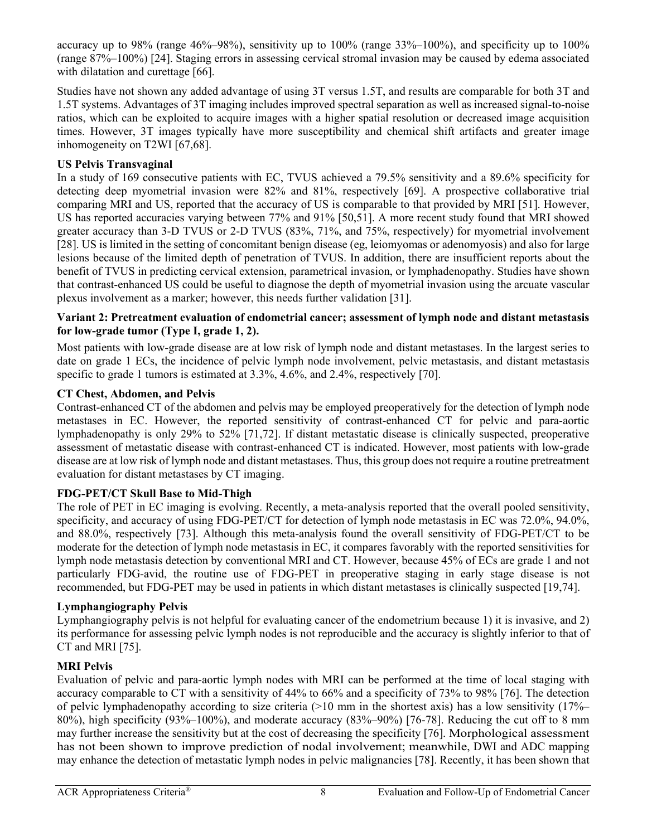accuracy up to 98% (range 46%–98%), sensitivity up to 100% (range 33%–100%), and specificity up to 100% (range 87%–100%) [24]. Staging errors in assessing cervical stromal invasion may be caused by edema associated with dilatation and curettage [66].

Studies have not shown any added advantage of using 3T versus 1.5T, and results are comparable for both 3T and 1.5T systems. Advantages of 3T imaging includes improved spectral separation as well as increased signal-to-noise ratios, which can be exploited to acquire images with a higher spatial resolution or decreased image acquisition times. However, 3T images typically have more susceptibility and chemical shift artifacts and greater image inhomogeneity on T2WI [67,68].

# **US Pelvis Transvaginal**

In a study of 169 consecutive patients with EC, TVUS achieved a 79.5% sensitivity and a 89.6% specificity for detecting deep myometrial invasion were 82% and 81%, respectively [69]. A prospective collaborative trial comparing MRI and US, reported that the accuracy of US is comparable to that provided by MRI [51]. However, US has reported accuracies varying between 77% and 91% [50,51]. A more recent study found that MRI showed greater accuracy than 3-D TVUS or 2-D TVUS (83%, 71%, and 75%, respectively) for myometrial involvement [28]. US is limited in the setting of concomitant benign disease (eg, leiomyomas or adenomyosis) and also for large lesions because of the limited depth of penetration of TVUS. In addition, there are insufficient reports about the benefit of TVUS in predicting cervical extension, parametrical invasion, or lymphadenopathy. Studies have shown that contrast-enhanced US could be useful to diagnose the depth of myometrial invasion using the arcuate vascular plexus involvement as a marker; however, this needs further validation [31].

# **Variant 2: Pretreatment evaluation of endometrial cancer; assessment of lymph node and distant metastasis for low-grade tumor (Type I, grade 1, 2).**

Most patients with low-grade disease are at low risk of lymph node and distant metastases. In the largest series to date on grade 1 ECs, the incidence of pelvic lymph node involvement, pelvic metastasis, and distant metastasis specific to grade 1 tumors is estimated at 3.3%, 4.6%, and 2.4%, respectively [70].

# **CT Chest, Abdomen, and Pelvis**

Contrast-enhanced CT of the abdomen and pelvis may be employed preoperatively for the detection of lymph node metastases in EC. However, the reported sensitivity of contrast-enhanced CT for pelvic and para-aortic lymphadenopathy is only 29% to 52% [71,72]. If distant metastatic disease is clinically suspected, preoperative assessment of metastatic disease with contrast-enhanced CT is indicated. However, most patients with low-grade disease are at low risk of lymph node and distant metastases. Thus, this group does not require a routine pretreatment evaluation for distant metastases by CT imaging.

# **FDG-PET/CT Skull Base to Mid-Thigh**

The role of PET in EC imaging is evolving. Recently, a meta-analysis reported that the overall pooled sensitivity, specificity, and accuracy of using FDG-PET/CT for detection of lymph node metastasis in EC was 72.0%, 94.0%, and 88.0%, respectively [73]. Although this meta-analysis found the overall sensitivity of FDG-PET/CT to be moderate for the detection of lymph node metastasis in EC, it compares favorably with the reported sensitivities for lymph node metastasis detection by conventional MRI and CT. However, because 45% of ECs are grade 1 and not particularly FDG-avid, the routine use of FDG-PET in preoperative staging in early stage disease is not recommended, but FDG-PET may be used in patients in which distant metastases is clinically suspected [19,74].

# **Lymphangiography Pelvis**

Lymphangiography pelvis is not helpful for evaluating cancer of the endometrium because 1) it is invasive, and 2) its performance for assessing pelvic lymph nodes is not reproducible and the accuracy is slightly inferior to that of CT and MRI [75].

# **MRI Pelvis**

Evaluation of pelvic and para-aortic lymph nodes with MRI can be performed at the time of local staging with accuracy comparable to CT with a sensitivity of 44% to 66% and a specificity of 73% to 98% [76]. The detection of pelvic lymphadenopathy according to size criteria  $(>10 \text{ mm}$  in the shortest axis) has a low sensitivity  $(17\%-$ 80%), high specificity (93%–100%), and moderate accuracy (83%–90%) [76-78]. Reducing the cut off to 8 mm may further increase the sensitivity but at the cost of decreasing the specificity [76]. Morphological assessment has not been shown to improve prediction of nodal involvement; meanwhile, DWI and ADC mapping may enhance the detection of metastatic lymph nodes in pelvic malignancies [78]. Recently, it has been shown that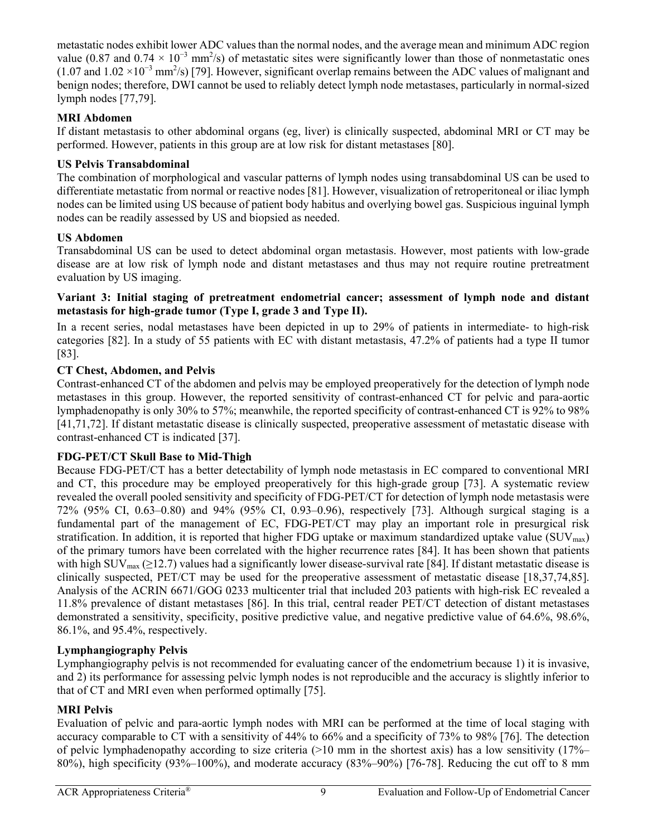metastatic nodes exhibit lower ADC values than the normal nodes, and the average mean and minimum ADC region value (0.87 and 0.74  $\times$  10<sup>-3</sup> mm<sup>2</sup>/s) of metastatic sites were significantly lower than those of nonmetastatic ones (1.07 and 1.02 ×10<sup>-3</sup> mm<sup>2</sup>/s) [79]. However, significant overlap remains between the ADC values of malignant and benign nodes; therefore, DWI cannot be used to reliably detect lymph node metastases, particularly in normal-sized lymph nodes [77,79].

# **MRI Abdomen**

If distant metastasis to other abdominal organs (eg, liver) is clinically suspected, abdominal MRI or CT may be performed. However, patients in this group are at low risk for distant metastases [80].

# **US Pelvis Transabdominal**

The combination of morphological and vascular patterns of lymph nodes using transabdominal US can be used to differentiate metastatic from normal or reactive nodes [81]. However, visualization of retroperitoneal or iliac lymph nodes can be limited using US because of patient body habitus and overlying bowel gas. Suspicious inguinal lymph nodes can be readily assessed by US and biopsied as needed.

# **US Abdomen**

Transabdominal US can be used to detect abdominal organ metastasis. However, most patients with low-grade disease are at low risk of lymph node and distant metastases and thus may not require routine pretreatment evaluation by US imaging.

# **Variant 3: Initial staging of pretreatment endometrial cancer; assessment of lymph node and distant metastasis for high-grade tumor (Type I, grade 3 and Type II).**

In a recent series, nodal metastases have been depicted in up to 29% of patients in intermediate- to high-risk categories [82]. In a study of 55 patients with EC with distant metastasis, 47.2% of patients had a type II tumor [83].

# **CT Chest, Abdomen, and Pelvis**

Contrast-enhanced CT of the abdomen and pelvis may be employed preoperatively for the detection of lymph node metastases in this group. However, the reported sensitivity of contrast-enhanced CT for pelvic and para-aortic lymphadenopathy is only 30% to 57%; meanwhile, the reported specificity of contrast-enhanced CT is 92% to 98% [41,71,72]. If distant metastatic disease is clinically suspected, preoperative assessment of metastatic disease with contrast-enhanced CT is indicated [37].

# **FDG-PET/CT Skull Base to Mid-Thigh**

Because FDG-PET/CT has a better detectability of lymph node metastasis in EC compared to conventional MRI and CT, this procedure may be employed preoperatively for this high-grade group [73]. A systematic review revealed the overall pooled sensitivity and specificity of FDG-PET/CT for detection of lymph node metastasis were 72% (95% CI, 0.63–0.80) and 94% (95% CI, 0.93–0.96), respectively [73]. Although surgical staging is a fundamental part of the management of EC, FDG-PET/CT may play an important role in presurgical risk stratification. In addition, it is reported that higher FDG uptake or maximum standardized uptake value ( $\text{SUV}_{\text{max}}$ ) of the primary tumors have been correlated with the higher recurrence rates [84]. It has been shown that patients with high SUV<sub>max</sub> ( $\geq$ 12.7) values had a significantly lower disease-survival rate [84]. If distant metastatic disease is clinically suspected, PET/CT may be used for the preoperative assessment of metastatic disease [18,37,74,85]. Analysis of the ACRIN 6671/GOG 0233 multicenter trial that included 203 patients with high-risk EC revealed a 11.8% prevalence of distant metastases [86]. In this trial, central reader PET/CT detection of distant metastases demonstrated a sensitivity, specificity, positive predictive value, and negative predictive value of 64.6%, 98.6%, 86.1%, and 95.4%, respectively.

# **Lymphangiography Pelvis**

Lymphangiography pelvis is not recommended for evaluating cancer of the endometrium because 1) it is invasive, and 2) its performance for assessing pelvic lymph nodes is not reproducible and the accuracy is slightly inferior to that of CT and MRI even when performed optimally [75].

# **MRI Pelvis**

Evaluation of pelvic and para-aortic lymph nodes with MRI can be performed at the time of local staging with accuracy comparable to CT with a sensitivity of 44% to 66% and a specificity of 73% to 98% [76]. The detection of pelvic lymphadenopathy according to size criteria ( $>10$  mm in the shortest axis) has a low sensitivity ( $17\%$ – 80%), high specificity (93%–100%), and moderate accuracy (83%–90%) [76-78]. Reducing the cut off to 8 mm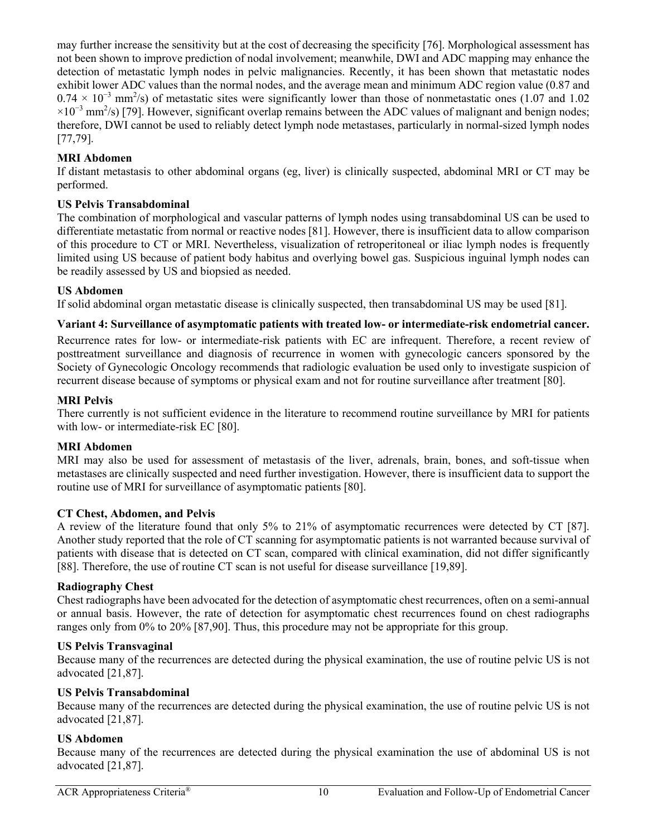may further increase the sensitivity but at the cost of decreasing the specificity [76]. Morphological assessment has not been shown to improve prediction of nodal involvement; meanwhile, DWI and ADC mapping may enhance the detection of metastatic lymph nodes in pelvic malignancies. Recently, it has been shown that metastatic nodes exhibit lower ADC values than the normal nodes, and the average mean and minimum ADC region value (0.87 and  $0.74 \times 10^{-3}$  mm<sup>2</sup>/s) of metastatic sites were significantly lower than those of nonmetastatic ones (1.07 and 1.02  $\times 10^{-3}$  mm<sup>2</sup>/s) [79]. However, significant overlap remains between the ADC values of malignant and benign nodes; therefore, DWI cannot be used to reliably detect lymph node metastases, particularly in normal-sized lymph nodes [77,79].

# **MRI Abdomen**

If distant metastasis to other abdominal organs (eg, liver) is clinically suspected, abdominal MRI or CT may be performed.

## **US Pelvis Transabdominal**

The combination of morphological and vascular patterns of lymph nodes using transabdominal US can be used to differentiate metastatic from normal or reactive nodes [81]. However, there is insufficient data to allow comparison of this procedure to CT or MRI. Nevertheless, visualization of retroperitoneal or iliac lymph nodes is frequently limited using US because of patient body habitus and overlying bowel gas. Suspicious inguinal lymph nodes can be readily assessed by US and biopsied as needed.

## **US Abdomen**

If solid abdominal organ metastatic disease is clinically suspected, then transabdominal US may be used [81].

### **Variant 4: Surveillance of asymptomatic patients with treated low- or intermediate-risk endometrial cancer.**

Recurrence rates for low- or intermediate-risk patients with EC are infrequent. Therefore, a recent review of posttreatment surveillance and diagnosis of recurrence in women with gynecologic cancers sponsored by the Society of Gynecologic Oncology recommends that radiologic evaluation be used only to investigate suspicion of recurrent disease because of symptoms or physical exam and not for routine surveillance after treatment [80].

### **MRI Pelvis**

There currently is not sufficient evidence in the literature to recommend routine surveillance by MRI for patients with low- or intermediate-risk EC [80].

### **MRI Abdomen**

MRI may also be used for assessment of metastasis of the liver, adrenals, brain, bones, and soft-tissue when metastases are clinically suspected and need further investigation. However, there is insufficient data to support the routine use of MRI for surveillance of asymptomatic patients [80].

### **CT Chest, Abdomen, and Pelvis**

A review of the literature found that only 5% to 21% of asymptomatic recurrences were detected by CT [87]. Another study reported that the role of CT scanning for asymptomatic patients is not warranted because survival of patients with disease that is detected on CT scan, compared with clinical examination, did not differ significantly [88]. Therefore, the use of routine CT scan is not useful for disease surveillance [19,89].

# **Radiography Chest**

Chest radiographs have been advocated for the detection of asymptomatic chest recurrences, often on a semi-annual or annual basis. However, the rate of detection for asymptomatic chest recurrences found on chest radiographs ranges only from 0% to 20% [87,90]. Thus, this procedure may not be appropriate for this group.

# **US Pelvis Transvaginal**

Because many of the recurrences are detected during the physical examination, the use of routine pelvic US is not advocated [21,87].

### **US Pelvis Transabdominal**

Because many of the recurrences are detected during the physical examination, the use of routine pelvic US is not advocated [21,87].

### **US Abdomen**

Because many of the recurrences are detected during the physical examination the use of abdominal US is not advocated [21,87].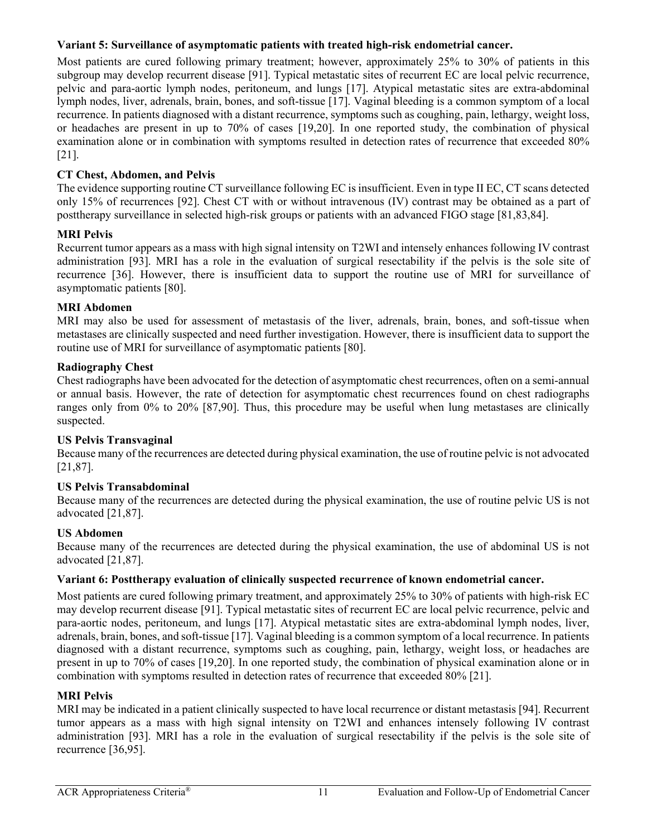## **Variant 5: Surveillance of asymptomatic patients with treated high-risk endometrial cancer.**

Most patients are cured following primary treatment; however, approximately 25% to 30% of patients in this subgroup may develop recurrent disease [91]. Typical metastatic sites of recurrent EC are local pelvic recurrence, pelvic and para-aortic lymph nodes, peritoneum, and lungs [17]. Atypical metastatic sites are extra-abdominal lymph nodes, liver, adrenals, brain, bones, and soft-tissue [17]. Vaginal bleeding is a common symptom of a local recurrence. In patients diagnosed with a distant recurrence, symptoms such as coughing, pain, lethargy, weight loss, or headaches are present in up to 70% of cases [19,20]. In one reported study, the combination of physical examination alone or in combination with symptoms resulted in detection rates of recurrence that exceeded 80% [21].

# **CT Chest, Abdomen, and Pelvis**

The evidence supporting routine CT surveillance following EC is insufficient. Even in type II EC, CT scans detected only 15% of recurrences [92]. Chest CT with or without intravenous (IV) contrast may be obtained as a part of posttherapy surveillance in selected high-risk groups or patients with an advanced FIGO stage [81,83,84].

# **MRI Pelvis**

Recurrent tumor appears as a mass with high signal intensity on T2WI and intensely enhances following IV contrast administration [93]. MRI has a role in the evaluation of surgical resectability if the pelvis is the sole site of recurrence [36]. However, there is insufficient data to support the routine use of MRI for surveillance of asymptomatic patients [80].

## **MRI Abdomen**

MRI may also be used for assessment of metastasis of the liver, adrenals, brain, bones, and soft-tissue when metastases are clinically suspected and need further investigation. However, there is insufficient data to support the routine use of MRI for surveillance of asymptomatic patients [80].

## **Radiography Chest**

Chest radiographs have been advocated for the detection of asymptomatic chest recurrences, often on a semi-annual or annual basis. However, the rate of detection for asymptomatic chest recurrences found on chest radiographs ranges only from 0% to 20% [87,90]. Thus, this procedure may be useful when lung metastases are clinically suspected.

### **US Pelvis Transvaginal**

Because many of the recurrences are detected during physical examination, the use of routine pelvic is not advocated [21,87].

# **US Pelvis Transabdominal**

Because many of the recurrences are detected during the physical examination, the use of routine pelvic US is not advocated [21,87].

### **US Abdomen**

Because many of the recurrences are detected during the physical examination, the use of abdominal US is not advocated [21,87].

# **Variant 6: Posttherapy evaluation of clinically suspected recurrence of known endometrial cancer.**

Most patients are cured following primary treatment, and approximately 25% to 30% of patients with high-risk EC may develop recurrent disease [91]. Typical metastatic sites of recurrent EC are local pelvic recurrence, pelvic and para-aortic nodes, peritoneum, and lungs [17]. Atypical metastatic sites are extra-abdominal lymph nodes, liver, adrenals, brain, bones, and soft-tissue [17]. Vaginal bleeding is a common symptom of a local recurrence. In patients diagnosed with a distant recurrence, symptoms such as coughing, pain, lethargy, weight loss, or headaches are present in up to 70% of cases [19,20]. In one reported study, the combination of physical examination alone or in combination with symptoms resulted in detection rates of recurrence that exceeded 80% [21].

### **MRI Pelvis**

MRI may be indicated in a patient clinically suspected to have local recurrence or distant metastasis [94]. Recurrent tumor appears as a mass with high signal intensity on T2WI and enhances intensely following IV contrast administration [93]. MRI has a role in the evaluation of surgical resectability if the pelvis is the sole site of recurrence [36,95].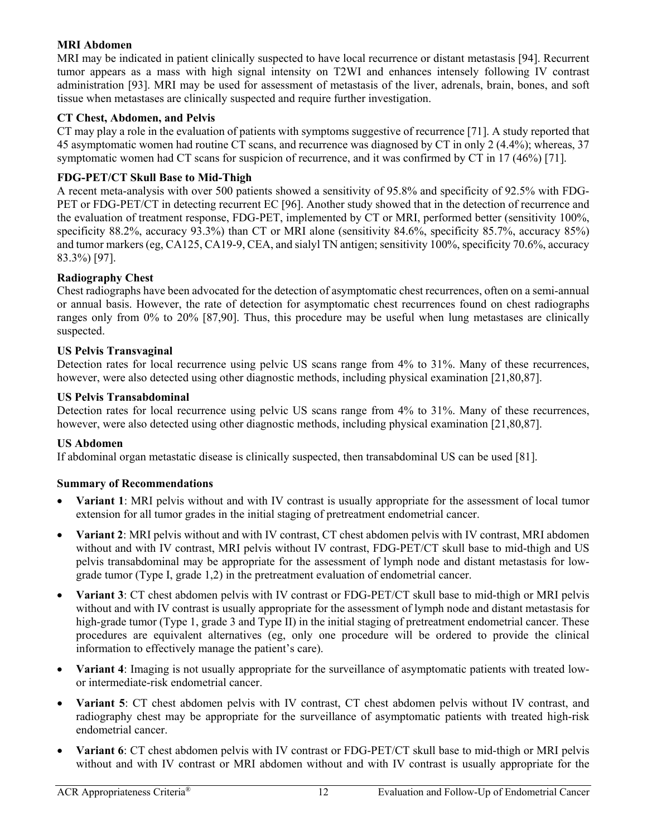## **MRI Abdomen**

MRI may be indicated in patient clinically suspected to have local recurrence or distant metastasis [94]. Recurrent tumor appears as a mass with high signal intensity on T2WI and enhances intensely following IV contrast administration [93]. MRI may be used for assessment of metastasis of the liver, adrenals, brain, bones, and soft tissue when metastases are clinically suspected and require further investigation.

### **CT Chest, Abdomen, and Pelvis**

CT may play a role in the evaluation of patients with symptoms suggestive of recurrence [71]. A study reported that 45 asymptomatic women had routine CT scans, and recurrence was diagnosed by CT in only 2 (4.4%); whereas, 37 symptomatic women had CT scans for suspicion of recurrence, and it was confirmed by CT in 17 (46%) [71].

## **FDG-PET/CT Skull Base to Mid-Thigh**

A recent meta-analysis with over 500 patients showed a sensitivity of 95.8% and specificity of 92.5% with FDG-PET or FDG-PET/CT in detecting recurrent EC [96]. Another study showed that in the detection of recurrence and the evaluation of treatment response, FDG-PET, implemented by CT or MRI, performed better (sensitivity 100%, specificity 88.2%, accuracy 93.3%) than CT or MRI alone (sensitivity 84.6%, specificity 85.7%, accuracy 85%) and tumor markers(eg, CA125, CA19-9, CEA, and sialyl TN antigen; sensitivity 100%, specificity 70.6%, accuracy 83.3%) [97].

### **Radiography Chest**

Chest radiographs have been advocated for the detection of asymptomatic chest recurrences, often on a semi-annual or annual basis. However, the rate of detection for asymptomatic chest recurrences found on chest radiographs ranges only from 0% to 20% [87,90]. Thus, this procedure may be useful when lung metastases are clinically suspected.

### **US Pelvis Transvaginal**

Detection rates for local recurrence using pelvic US scans range from 4% to 31%. Many of these recurrences, however, were also detected using other diagnostic methods, including physical examination [21,80,87].

### **US Pelvis Transabdominal**

Detection rates for local recurrence using pelvic US scans range from 4% to 31%. Many of these recurrences, however, were also detected using other diagnostic methods, including physical examination [21,80,87].

### **US Abdomen**

If abdominal organ metastatic disease is clinically suspected, then transabdominal US can be used [81].

### **Summary of Recommendations**

- **Variant 1**: MRI pelvis without and with IV contrast is usually appropriate for the assessment of local tumor extension for all tumor grades in the initial staging of pretreatment endometrial cancer.
- **Variant 2**: MRI pelvis without and with IV contrast, CT chest abdomen pelvis with IV contrast, MRI abdomen without and with IV contrast, MRI pelvis without IV contrast, FDG-PET/CT skull base to mid-thigh and US pelvis transabdominal may be appropriate for the assessment of lymph node and distant metastasis for lowgrade tumor (Type I, grade 1,2) in the pretreatment evaluation of endometrial cancer.
- **Variant 3**: CT chest abdomen pelvis with IV contrast or FDG-PET/CT skull base to mid-thigh or MRI pelvis without and with IV contrast is usually appropriate for the assessment of lymph node and distant metastasis for high-grade tumor (Type 1, grade 3 and Type II) in the initial staging of pretreatment endometrial cancer. These procedures are equivalent alternatives (eg, only one procedure will be ordered to provide the clinical information to effectively manage the patient's care).
- **Variant 4**: Imaging is not usually appropriate for the surveillance of asymptomatic patients with treated lowor intermediate-risk endometrial cancer.
- **Variant 5**: CT chest abdomen pelvis with IV contrast, CT chest abdomen pelvis without IV contrast, and radiography chest may be appropriate for the surveillance of asymptomatic patients with treated high-risk endometrial cancer.
- **Variant 6**: CT chest abdomen pelvis with IV contrast or FDG-PET/CT skull base to mid-thigh or MRI pelvis without and with IV contrast or MRI abdomen without and with IV contrast is usually appropriate for the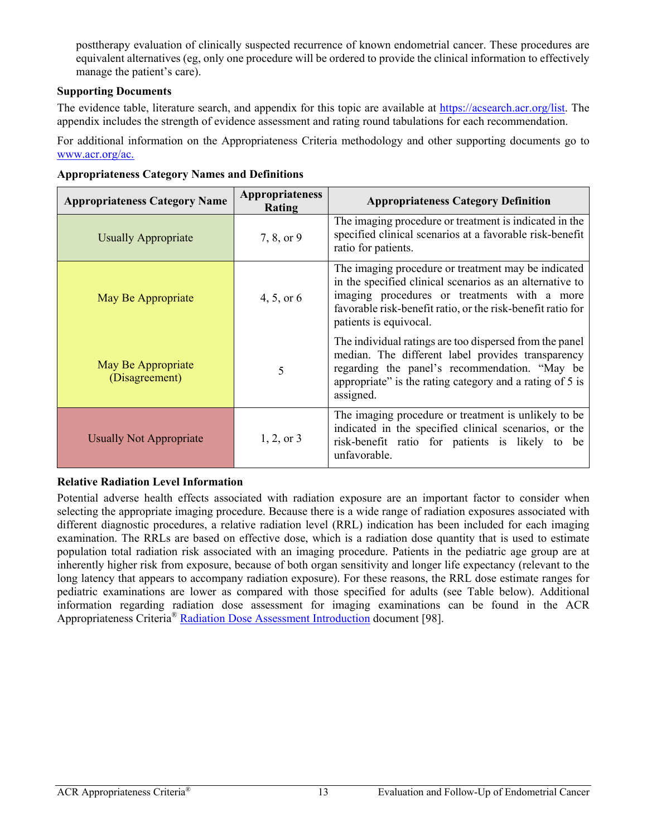posttherapy evaluation of clinically suspected recurrence of known endometrial cancer. These procedures are equivalent alternatives (eg, only one procedure will be ordered to provide the clinical information to effectively manage the patient's care).

# **Supporting Documents**

The evidence table, literature search, and appendix for this topic are available at [https://acsearch.acr.org/list.](https://acsearch.acr.org/list) The appendix includes the strength of evidence assessment and rating round tabulations for each recommendation.

For additional information on the Appropriateness Criteria methodology and other supporting documents go to [www.acr.org/ac.](https://www.acr.org/Clinical-Resources/ACR-Appropriateness-Criteria)

| <b>Appropriateness Category Name</b> | <b>Appropriateness</b><br>Rating | <b>Appropriateness Category Definition</b>                                                                                                                                                                                                               |
|--------------------------------------|----------------------------------|----------------------------------------------------------------------------------------------------------------------------------------------------------------------------------------------------------------------------------------------------------|
| <b>Usually Appropriate</b>           | 7, 8, or 9                       | The imaging procedure or treatment is indicated in the<br>specified clinical scenarios at a favorable risk-benefit<br>ratio for patients.                                                                                                                |
| May Be Appropriate                   | 4, 5, or $6$                     | The imaging procedure or treatment may be indicated<br>in the specified clinical scenarios as an alternative to<br>imaging procedures or treatments with a more<br>favorable risk-benefit ratio, or the risk-benefit ratio for<br>patients is equivocal. |
| May Be Appropriate<br>(Disagreement) | 5                                | The individual ratings are too dispersed from the panel<br>median. The different label provides transparency<br>regarding the panel's recommendation. "May be<br>appropriate" is the rating category and a rating of 5 is<br>assigned.                   |
| <b>Usually Not Appropriate</b>       | $1, 2,$ or 3                     | The imaging procedure or treatment is unlikely to be<br>indicated in the specified clinical scenarios, or the<br>risk-benefit ratio for patients is likely to be<br>unfavorable.                                                                         |

**Appropriateness Category Names and Definitions** 

# **Relative Radiation Level Information**

Potential adverse health effects associated with radiation exposure are an important factor to consider when selecting the appropriate imaging procedure. Because there is a wide range of radiation exposures associated with different diagnostic procedures, a relative radiation level (RRL) indication has been included for each imaging examination. The RRLs are based on effective dose, which is a radiation dose quantity that is used to estimate population total radiation risk associated with an imaging procedure. Patients in the pediatric age group are at inherently higher risk from exposure, because of both organ sensitivity and longer life expectancy (relevant to the long latency that appears to accompany radiation exposure). For these reasons, the RRL dose estimate ranges for pediatric examinations are lower as compared with those specified for adults (see Table below). Additional information regarding radiation dose assessment for imaging examinations can be found in the ACR Appropriateness Criteria® [Radiation Dose Assessment Introduction](https://www.acr.org/-/media/ACR/Files/Appropriateness-Criteria/RadiationDoseAssessmentIntro.pdf) document [98].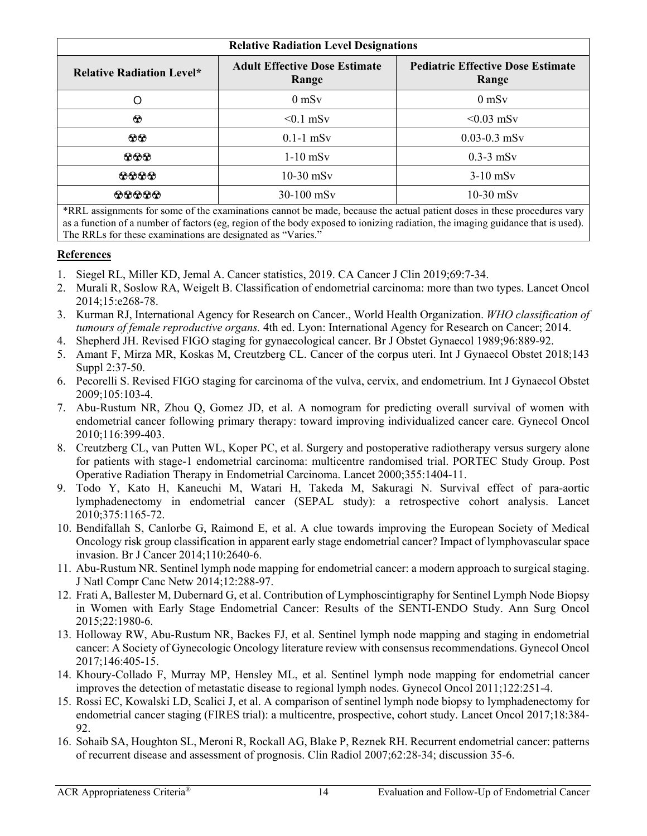| <b>Relative Radiation Level Designations</b> |                                               |                                                   |
|----------------------------------------------|-----------------------------------------------|---------------------------------------------------|
| <b>Relative Radiation Level*</b>             | <b>Adult Effective Dose Estimate</b><br>Range | <b>Pediatric Effective Dose Estimate</b><br>Range |
|                                              | $0$ mS <sub>v</sub>                           | $0$ mS <sub>v</sub>                               |
| ⊛                                            | $< 0.1$ mSv                                   | $< 0.03$ mSv                                      |
| $\odot\odot$                                 | $0.1-1$ mSv                                   | $0.03 - 0.3$ mSv                                  |
| $\odot \odot \odot$                          | $1-10$ mSv                                    | $0.3-3$ mSv                                       |
| 0000                                         | $10-30$ mSv                                   | $3-10$ mS <sub>v</sub>                            |
| 00000                                        | 30-100 mSv                                    | $10-30$ mSv                                       |

\*RRL assignments for some of the examinations cannot be made, because the actual patient doses in these procedures vary as a function of a number of factors (eg, region of the body exposed to ionizing radiation, the imaging guidance that is used). The RRLs for these examinations are designated as "Varies."

# **References**

- 1. Siegel RL, Miller KD, Jemal A. Cancer statistics, 2019. CA Cancer J Clin 2019;69:7-34.
- 2. Murali R, Soslow RA, Weigelt B. Classification of endometrial carcinoma: more than two types. Lancet Oncol 2014;15:e268-78.
- 3. Kurman RJ, International Agency for Research on Cancer., World Health Organization. *WHO classification of tumours of female reproductive organs.* 4th ed. Lyon: International Agency for Research on Cancer; 2014.
- 4. Shepherd JH. Revised FIGO staging for gynaecological cancer. Br J Obstet Gynaecol 1989;96:889-92.
- 5. Amant F, Mirza MR, Koskas M, Creutzberg CL. Cancer of the corpus uteri. Int J Gynaecol Obstet 2018;143 Suppl 2:37-50.
- 6. Pecorelli S. Revised FIGO staging for carcinoma of the vulva, cervix, and endometrium. Int J Gynaecol Obstet 2009;105:103-4.
- 7. Abu-Rustum NR, Zhou Q, Gomez JD, et al. A nomogram for predicting overall survival of women with endometrial cancer following primary therapy: toward improving individualized cancer care. Gynecol Oncol 2010;116:399-403.
- 8. Creutzberg CL, van Putten WL, Koper PC, et al. Surgery and postoperative radiotherapy versus surgery alone for patients with stage-1 endometrial carcinoma: multicentre randomised trial. PORTEC Study Group. Post Operative Radiation Therapy in Endometrial Carcinoma. Lancet 2000;355:1404-11.
- 9. Todo Y, Kato H, Kaneuchi M, Watari H, Takeda M, Sakuragi N. Survival effect of para-aortic lymphadenectomy in endometrial cancer (SEPAL study): a retrospective cohort analysis. Lancet 2010;375:1165-72.
- 10. Bendifallah S, Canlorbe G, Raimond E, et al. A clue towards improving the European Society of Medical Oncology risk group classification in apparent early stage endometrial cancer? Impact of lymphovascular space invasion. Br J Cancer 2014;110:2640-6.
- 11. Abu-Rustum NR. Sentinel lymph node mapping for endometrial cancer: a modern approach to surgical staging. J Natl Compr Canc Netw 2014;12:288-97.
- 12. Frati A, Ballester M, Dubernard G, et al. Contribution of Lymphoscintigraphy for Sentinel Lymph Node Biopsy in Women with Early Stage Endometrial Cancer: Results of the SENTI-ENDO Study. Ann Surg Oncol 2015;22:1980-6.
- 13. Holloway RW, Abu-Rustum NR, Backes FJ, et al. Sentinel lymph node mapping and staging in endometrial cancer: A Society of Gynecologic Oncology literature review with consensus recommendations. Gynecol Oncol 2017;146:405-15.
- 14. Khoury-Collado F, Murray MP, Hensley ML, et al. Sentinel lymph node mapping for endometrial cancer improves the detection of metastatic disease to regional lymph nodes. Gynecol Oncol 2011;122:251-4.
- 15. Rossi EC, Kowalski LD, Scalici J, et al. A comparison of sentinel lymph node biopsy to lymphadenectomy for endometrial cancer staging (FIRES trial): a multicentre, prospective, cohort study. Lancet Oncol 2017;18:384- 92.
- 16. Sohaib SA, Houghton SL, Meroni R, Rockall AG, Blake P, Reznek RH. Recurrent endometrial cancer: patterns of recurrent disease and assessment of prognosis. Clin Radiol 2007;62:28-34; discussion 35-6.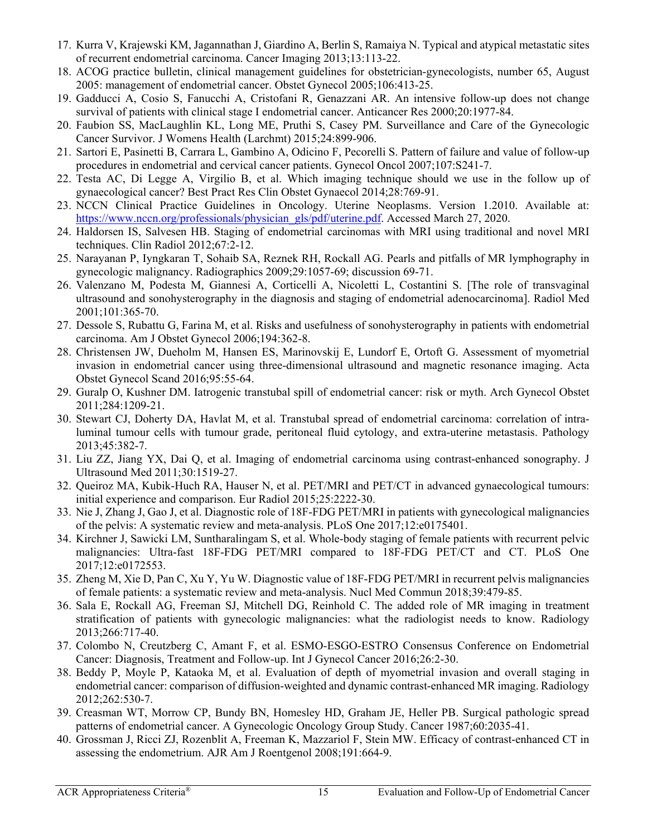- 17. Kurra V, Krajewski KM, Jagannathan J, Giardino A, Berlin S, Ramaiya N. Typical and atypical metastatic sites of recurrent endometrial carcinoma. Cancer Imaging 2013;13:113-22.
- 18. ACOG practice bulletin, clinical management guidelines for obstetrician-gynecologists, number 65, August 2005: management of endometrial cancer. Obstet Gynecol 2005;106:413-25.
- 19. Gadducci A, Cosio S, Fanucchi A, Cristofani R, Genazzani AR. An intensive follow-up does not change survival of patients with clinical stage I endometrial cancer. Anticancer Res 2000;20:1977-84.
- 20. Faubion SS, MacLaughlin KL, Long ME, Pruthi S, Casey PM. Surveillance and Care of the Gynecologic Cancer Survivor. J Womens Health (Larchmt) 2015;24:899-906.
- 21. Sartori E, Pasinetti B, Carrara L, Gambino A, Odicino F, Pecorelli S. Pattern of failure and value of follow-up procedures in endometrial and cervical cancer patients. Gynecol Oncol 2007;107:S241-7.
- 22. Testa AC, Di Legge A, Virgilio B, et al. Which imaging technique should we use in the follow up of gynaecological cancer? Best Pract Res Clin Obstet Gynaecol 2014;28:769-91.
- 23. NCCN Clinical Practice Guidelines in Oncology. Uterine Neoplasms. Version 1.2010. Available at: [https://www.nccn.org/professionals/physician\\_gls/pdf/uterine.pdf.](https://www.nccn.org/professionals/physician_gls/pdf/uterine.pdf) Accessed March 27, 2020.
- 24. Haldorsen IS, Salvesen HB. Staging of endometrial carcinomas with MRI using traditional and novel MRI techniques. Clin Radiol 2012;67:2-12.
- 25. Narayanan P, Iyngkaran T, Sohaib SA, Reznek RH, Rockall AG. Pearls and pitfalls of MR lymphography in gynecologic malignancy. Radiographics 2009;29:1057-69; discussion 69-71.
- 26. Valenzano M, Podesta M, Giannesi A, Corticelli A, Nicoletti L, Costantini S. [The role of transvaginal ultrasound and sonohysterography in the diagnosis and staging of endometrial adenocarcinoma]. Radiol Med 2001;101:365-70.
- 27. Dessole S, Rubattu G, Farina M, et al. Risks and usefulness of sonohysterography in patients with endometrial carcinoma. Am J Obstet Gynecol 2006;194:362-8.
- 28. Christensen JW, Dueholm M, Hansen ES, Marinovskij E, Lundorf E, Ortoft G. Assessment of myometrial invasion in endometrial cancer using three-dimensional ultrasound and magnetic resonance imaging. Acta Obstet Gynecol Scand 2016;95:55-64.
- 29. Guralp O, Kushner DM. Iatrogenic transtubal spill of endometrial cancer: risk or myth. Arch Gynecol Obstet 2011;284:1209-21.
- 30. Stewart CJ, Doherty DA, Havlat M, et al. Transtubal spread of endometrial carcinoma: correlation of intraluminal tumour cells with tumour grade, peritoneal fluid cytology, and extra-uterine metastasis. Pathology 2013;45:382-7.
- 31. Liu ZZ, Jiang YX, Dai Q, et al. Imaging of endometrial carcinoma using contrast-enhanced sonography. J Ultrasound Med 2011;30:1519-27.
- 32. Queiroz MA, Kubik-Huch RA, Hauser N, et al. PET/MRI and PET/CT in advanced gynaecological tumours: initial experience and comparison. Eur Radiol 2015;25:2222-30.
- 33. Nie J, Zhang J, Gao J, et al. Diagnostic role of 18F-FDG PET/MRI in patients with gynecological malignancies of the pelvis: A systematic review and meta-analysis. PLoS One 2017;12:e0175401.
- 34. Kirchner J, Sawicki LM, Suntharalingam S, et al. Whole-body staging of female patients with recurrent pelvic malignancies: Ultra-fast 18F-FDG PET/MRI compared to 18F-FDG PET/CT and CT. PLoS One 2017;12:e0172553.
- 35. Zheng M, Xie D, Pan C, Xu Y, Yu W. Diagnostic value of 18F-FDG PET/MRI in recurrent pelvis malignancies of female patients: a systematic review and meta-analysis. Nucl Med Commun 2018;39:479-85.
- 36. Sala E, Rockall AG, Freeman SJ, Mitchell DG, Reinhold C. The added role of MR imaging in treatment stratification of patients with gynecologic malignancies: what the radiologist needs to know. Radiology 2013;266:717-40.
- 37. Colombo N, Creutzberg C, Amant F, et al. ESMO-ESGO-ESTRO Consensus Conference on Endometrial Cancer: Diagnosis, Treatment and Follow-up. Int J Gynecol Cancer 2016;26:2-30.
- 38. Beddy P, Moyle P, Kataoka M, et al. Evaluation of depth of myometrial invasion and overall staging in endometrial cancer: comparison of diffusion-weighted and dynamic contrast-enhanced MR imaging. Radiology 2012;262:530-7.
- 39. Creasman WT, Morrow CP, Bundy BN, Homesley HD, Graham JE, Heller PB. Surgical pathologic spread patterns of endometrial cancer. A Gynecologic Oncology Group Study. Cancer 1987;60:2035-41.
- 40. Grossman J, Ricci ZJ, Rozenblit A, Freeman K, Mazzariol F, Stein MW. Efficacy of contrast-enhanced CT in assessing the endometrium. AJR Am J Roentgenol 2008;191:664-9.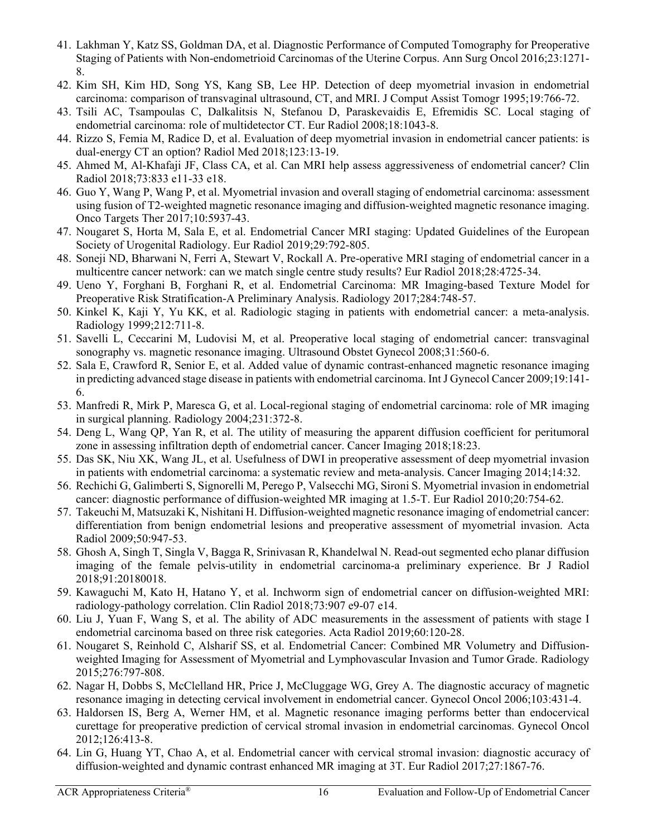- 41. Lakhman Y, Katz SS, Goldman DA, et al. Diagnostic Performance of Computed Tomography for Preoperative Staging of Patients with Non-endometrioid Carcinomas of the Uterine Corpus. Ann Surg Oncol 2016;23:1271- 8.
- 42. Kim SH, Kim HD, Song YS, Kang SB, Lee HP. Detection of deep myometrial invasion in endometrial carcinoma: comparison of transvaginal ultrasound, CT, and MRI. J Comput Assist Tomogr 1995;19:766-72.
- 43. Tsili AC, Tsampoulas C, Dalkalitsis N, Stefanou D, Paraskevaidis E, Efremidis SC. Local staging of endometrial carcinoma: role of multidetector CT. Eur Radiol 2008;18:1043-8.
- 44. Rizzo S, Femia M, Radice D, et al. Evaluation of deep myometrial invasion in endometrial cancer patients: is dual-energy CT an option? Radiol Med 2018;123:13-19.
- 45. Ahmed M, Al-Khafaji JF, Class CA, et al. Can MRI help assess aggressiveness of endometrial cancer? Clin Radiol 2018;73:833 e11-33 e18.
- 46. Guo Y, Wang P, Wang P, et al. Myometrial invasion and overall staging of endometrial carcinoma: assessment using fusion of T2-weighted magnetic resonance imaging and diffusion-weighted magnetic resonance imaging. Onco Targets Ther 2017;10:5937-43.
- 47. Nougaret S, Horta M, Sala E, et al. Endometrial Cancer MRI staging: Updated Guidelines of the European Society of Urogenital Radiology. Eur Radiol 2019;29:792-805.
- 48. Soneji ND, Bharwani N, Ferri A, Stewart V, Rockall A. Pre-operative MRI staging of endometrial cancer in a multicentre cancer network: can we match single centre study results? Eur Radiol 2018;28:4725-34.
- 49. Ueno Y, Forghani B, Forghani R, et al. Endometrial Carcinoma: MR Imaging-based Texture Model for Preoperative Risk Stratification-A Preliminary Analysis. Radiology 2017;284:748-57.
- 50. Kinkel K, Kaji Y, Yu KK, et al. Radiologic staging in patients with endometrial cancer: a meta-analysis. Radiology 1999;212:711-8.
- 51. Savelli L, Ceccarini M, Ludovisi M, et al. Preoperative local staging of endometrial cancer: transvaginal sonography vs. magnetic resonance imaging. Ultrasound Obstet Gynecol 2008;31:560-6.
- 52. Sala E, Crawford R, Senior E, et al. Added value of dynamic contrast-enhanced magnetic resonance imaging in predicting advanced stage disease in patients with endometrial carcinoma. Int J Gynecol Cancer 2009;19:141- 6.
- 53. Manfredi R, Mirk P, Maresca G, et al. Local-regional staging of endometrial carcinoma: role of MR imaging in surgical planning. Radiology 2004;231:372-8.
- 54. Deng L, Wang QP, Yan R, et al. The utility of measuring the apparent diffusion coefficient for peritumoral zone in assessing infiltration depth of endometrial cancer. Cancer Imaging 2018;18:23.
- 55. Das SK, Niu XK, Wang JL, et al. Usefulness of DWI in preoperative assessment of deep myometrial invasion in patients with endometrial carcinoma: a systematic review and meta-analysis. Cancer Imaging 2014;14:32.
- 56. Rechichi G, Galimberti S, Signorelli M, Perego P, Valsecchi MG, Sironi S. Myometrial invasion in endometrial cancer: diagnostic performance of diffusion-weighted MR imaging at 1.5-T. Eur Radiol 2010;20:754-62.
- 57. Takeuchi M, Matsuzaki K, Nishitani H. Diffusion-weighted magnetic resonance imaging of endometrial cancer: differentiation from benign endometrial lesions and preoperative assessment of myometrial invasion. Acta Radiol 2009;50:947-53.
- 58. Ghosh A, Singh T, Singla V, Bagga R, Srinivasan R, Khandelwal N. Read-out segmented echo planar diffusion imaging of the female pelvis-utility in endometrial carcinoma-a preliminary experience. Br J Radiol 2018;91:20180018.
- 59. Kawaguchi M, Kato H, Hatano Y, et al. Inchworm sign of endometrial cancer on diffusion-weighted MRI: radiology-pathology correlation. Clin Radiol 2018;73:907 e9-07 e14.
- 60. Liu J, Yuan F, Wang S, et al. The ability of ADC measurements in the assessment of patients with stage I endometrial carcinoma based on three risk categories. Acta Radiol 2019;60:120-28.
- 61. Nougaret S, Reinhold C, Alsharif SS, et al. Endometrial Cancer: Combined MR Volumetry and Diffusionweighted Imaging for Assessment of Myometrial and Lymphovascular Invasion and Tumor Grade. Radiology 2015;276:797-808.
- 62. Nagar H, Dobbs S, McClelland HR, Price J, McCluggage WG, Grey A. The diagnostic accuracy of magnetic resonance imaging in detecting cervical involvement in endometrial cancer. Gynecol Oncol 2006;103:431-4.
- 63. Haldorsen IS, Berg A, Werner HM, et al. Magnetic resonance imaging performs better than endocervical curettage for preoperative prediction of cervical stromal invasion in endometrial carcinomas. Gynecol Oncol 2012;126:413-8.
- 64. Lin G, Huang YT, Chao A, et al. Endometrial cancer with cervical stromal invasion: diagnostic accuracy of diffusion-weighted and dynamic contrast enhanced MR imaging at 3T. Eur Radiol 2017;27:1867-76.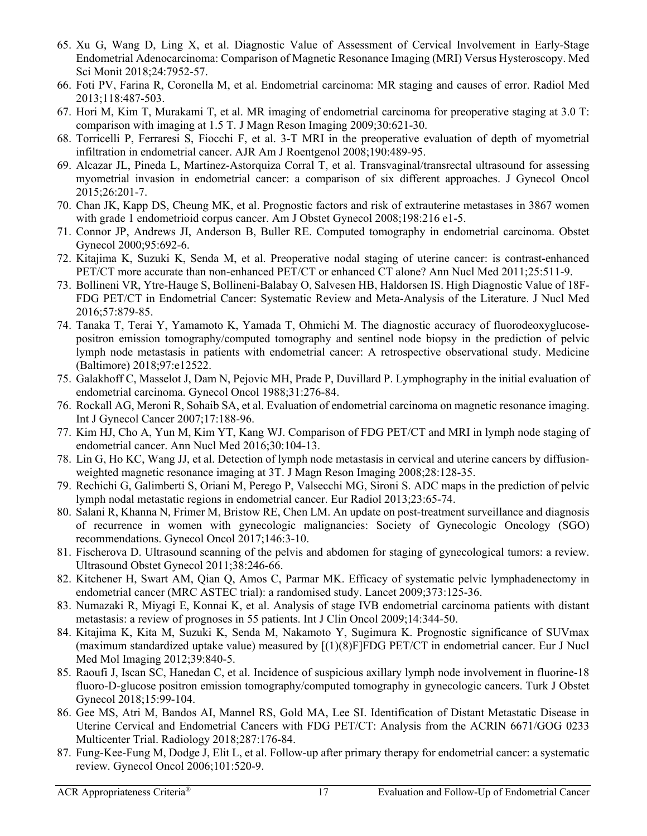- 65. Xu G, Wang D, Ling X, et al. Diagnostic Value of Assessment of Cervical Involvement in Early-Stage Endometrial Adenocarcinoma: Comparison of Magnetic Resonance Imaging (MRI) Versus Hysteroscopy. Med Sci Monit 2018;24:7952-57.
- 66. Foti PV, Farina R, Coronella M, et al. Endometrial carcinoma: MR staging and causes of error. Radiol Med 2013;118:487-503.
- 67. Hori M, Kim T, Murakami T, et al. MR imaging of endometrial carcinoma for preoperative staging at 3.0 T: comparison with imaging at 1.5 T. J Magn Reson Imaging 2009;30:621-30.
- 68. Torricelli P, Ferraresi S, Fiocchi F, et al. 3-T MRI in the preoperative evaluation of depth of myometrial infiltration in endometrial cancer. AJR Am J Roentgenol 2008;190:489-95.
- 69. Alcazar JL, Pineda L, Martinez-Astorquiza Corral T, et al. Transvaginal/transrectal ultrasound for assessing myometrial invasion in endometrial cancer: a comparison of six different approaches. J Gynecol Oncol 2015;26:201-7.
- 70. Chan JK, Kapp DS, Cheung MK, et al. Prognostic factors and risk of extrauterine metastases in 3867 women with grade 1 endometrioid corpus cancer. Am J Obstet Gynecol 2008;198:216 e1-5.
- 71. Connor JP, Andrews JI, Anderson B, Buller RE. Computed tomography in endometrial carcinoma. Obstet Gynecol 2000;95:692-6.
- 72. Kitajima K, Suzuki K, Senda M, et al. Preoperative nodal staging of uterine cancer: is contrast-enhanced PET/CT more accurate than non-enhanced PET/CT or enhanced CT alone? Ann Nucl Med 2011;25:511-9.
- 73. Bollineni VR, Ytre-Hauge S, Bollineni-Balabay O, Salvesen HB, Haldorsen IS. High Diagnostic Value of 18F-FDG PET/CT in Endometrial Cancer: Systematic Review and Meta-Analysis of the Literature. J Nucl Med 2016;57:879-85.
- 74. Tanaka T, Terai Y, Yamamoto K, Yamada T, Ohmichi M. The diagnostic accuracy of fluorodeoxyglucosepositron emission tomography/computed tomography and sentinel node biopsy in the prediction of pelvic lymph node metastasis in patients with endometrial cancer: A retrospective observational study. Medicine (Baltimore) 2018;97:e12522.
- 75. Galakhoff C, Masselot J, Dam N, Pejovic MH, Prade P, Duvillard P. Lymphography in the initial evaluation of endometrial carcinoma. Gynecol Oncol 1988;31:276-84.
- 76. Rockall AG, Meroni R, Sohaib SA, et al. Evaluation of endometrial carcinoma on magnetic resonance imaging. Int J Gynecol Cancer 2007;17:188-96.
- 77. Kim HJ, Cho A, Yun M, Kim YT, Kang WJ. Comparison of FDG PET/CT and MRI in lymph node staging of endometrial cancer. Ann Nucl Med 2016;30:104-13.
- 78. Lin G, Ho KC, Wang JJ, et al. Detection of lymph node metastasis in cervical and uterine cancers by diffusionweighted magnetic resonance imaging at 3T. J Magn Reson Imaging 2008;28:128-35.
- 79. Rechichi G, Galimberti S, Oriani M, Perego P, Valsecchi MG, Sironi S. ADC maps in the prediction of pelvic lymph nodal metastatic regions in endometrial cancer. Eur Radiol 2013;23:65-74.
- 80. Salani R, Khanna N, Frimer M, Bristow RE, Chen LM. An update on post-treatment surveillance and diagnosis of recurrence in women with gynecologic malignancies: Society of Gynecologic Oncology (SGO) recommendations. Gynecol Oncol 2017;146:3-10.
- 81. Fischerova D. Ultrasound scanning of the pelvis and abdomen for staging of gynecological tumors: a review. Ultrasound Obstet Gynecol 2011;38:246-66.
- 82. Kitchener H, Swart AM, Qian Q, Amos C, Parmar MK. Efficacy of systematic pelvic lymphadenectomy in endometrial cancer (MRC ASTEC trial): a randomised study. Lancet 2009;373:125-36.
- 83. Numazaki R, Miyagi E, Konnai K, et al. Analysis of stage IVB endometrial carcinoma patients with distant metastasis: a review of prognoses in 55 patients. Int J Clin Oncol 2009;14:344-50.
- 84. Kitajima K, Kita M, Suzuki K, Senda M, Nakamoto Y, Sugimura K. Prognostic significance of SUVmax (maximum standardized uptake value) measured by [(1)(8)F]FDG PET/CT in endometrial cancer. Eur J Nucl Med Mol Imaging 2012;39:840-5.
- 85. Raoufi J, Iscan SC, Hanedan C, et al. Incidence of suspicious axillary lymph node involvement in fluorine-18 fluoro-D-glucose positron emission tomography/computed tomography in gynecologic cancers. Turk J Obstet Gynecol 2018;15:99-104.
- 86. Gee MS, Atri M, Bandos AI, Mannel RS, Gold MA, Lee SI. Identification of Distant Metastatic Disease in Uterine Cervical and Endometrial Cancers with FDG PET/CT: Analysis from the ACRIN 6671/GOG 0233 Multicenter Trial. Radiology 2018;287:176-84.
- 87. Fung-Kee-Fung M, Dodge J, Elit L, et al. Follow-up after primary therapy for endometrial cancer: a systematic review. Gynecol Oncol 2006;101:520-9.